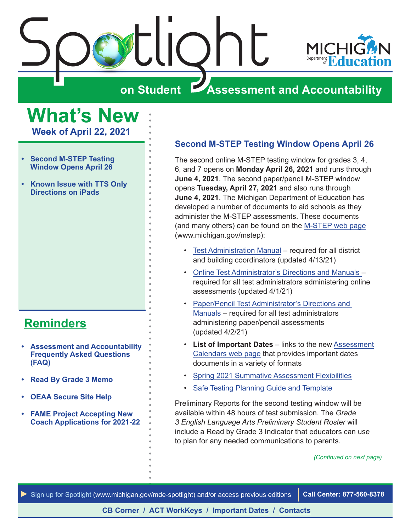<span id="page-0-0"></span>



# **on Student Assessment and Accountability**

**What's New**

**Week of April 22, 2021**

- **• Second M-STEP Testing Window Opens April 26**
- **• [Known Issue with TTS Only](#page-1-0)  [Directions on iPads](#page-1-0)**

# **[Reminders](#page-2-0)**

- **• [Assessment and Accountability](#page-2-1)  [Frequently Asked Questions](#page-2-1)  [\(FAQ\)](#page-2-1)**
- **• [Read By Grade 3 Memo](#page-2-1)**
- **• [OEAA Secure Site Help](#page-2-1)**
- **• [FAME Project Accepting New](#page-2-1)  [Coach Applications for 2021-22](#page-2-1)**

#### **Second M-STEP Testing Window Opens April 26**

The second online M-STEP testing window for grades 3, 4, 6, and 7 opens on **Monday April 26, 2021** and runs through **June 4, 2021**. The second paper/pencil M-STEP window opens **Tuesday, April 27, 2021** and also runs through **June 4, 2021**. The Michigan Department of Education has developed a number of documents to aid schools as they administer the M-STEP assessments. These documents (and many others) can be found on the [M-STEP web page](www.michigan.gov/mstep) (www.michigan.gov/mstep):

- [Test Administration Manual](https://www.michigan.gov/documents/mde/M-STEP_Test_Administration_Manual_630729_7.pdf) required for all district and building coordinators (updated 4/13/21)
- [Online Test Administrator's Directions and Manuals –](https://www.michigan.gov/mde/0,4615,7-140-22709_70117-518188--,00.html) required for all test administrators administering online assessments (updated 4/1/21)
- [Paper/Pencil Test Administrator's Directions and](https://www.michigan.gov/mde/0,4615,7-140-22709_70117-518188--,00.html)  [Manuals](https://www.michigan.gov/mde/0,4615,7-140-22709_70117-518188--,00.html) – required for all test administrators administering paper/pencil assessments (updated 4/2/21)
- **List of Important Dates** links to the new [Assessment](https://www.michigan.gov/mde/0,4615,7-140-22709_105605---,00.html) [Calendars web page](https://www.michigan.gov/mde/0,4615,7-140-22709_105605---,00.html) that provides important dates documents in a variety of formats
- [Spring 2021 Summative Assessment Flexibilities](https://www.michigan.gov/documents/mde/Spring_2021_Summative_Assessment_Flexibility_Options__722317_7.pdf)
- [Safe Testing Planning Guide and Template](https://www.michigan.gov/documents/mde/Safe_Testing_Planning_Word_Template_716136_7.docx)

Preliminary Reports for the second testing window will be available within 48 hours of test submission. The *Grade 3 English Language Arts Preliminary Student Roster* will include a Read by Grade 3 Indicator that educators can use to plan for any needed communications to parents.

*(Continued on next page)*

*►* [Sign up for Spotlight](https://public.govdelivery.com/accounts/MIMDE/subscriber/new) [\(www.michigan.gov/mde](www.michigan.gov/mde-spotlight)-spotlight) and/or access previous editions **Call Center: 877-560-8378**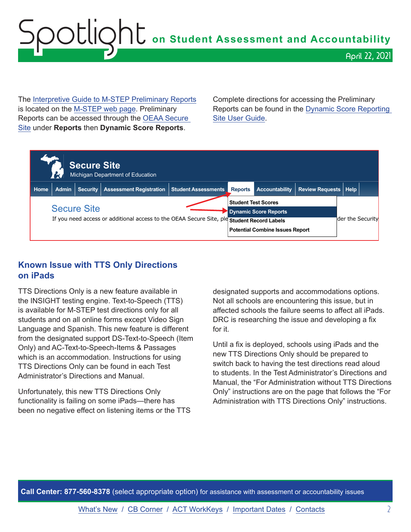# <span id="page-1-0"></span>Spotlight **on Student Assessment and Accountability** April 22, 2021

The [Interpretive Guide to M-STEP Preliminary Reports](https://www.michigan.gov/documents/mde/Interpretive_Guide_to_M-STEP_Preliminary_Reports_721529_7.pdf) is located on the [M-STEP web page](www.michigan.gov/mstep). Preliminary Reports can be accessed through the [OEAA Secure](http://www.michigan.gov/oeaa-secure)  [Site](http://www.michigan.gov/oeaa-secure) under **Reports** then **Dynamic Score Reports**.

Complete directions for accessing the Preliminary Reports can be found in the [Dynamic Score Reporting](https://www.michigan.gov/documents/mde/How_to_Navigate_Dynamic_Score_Reports_532306_7.pdf)  [Site User Guide.](https://www.michigan.gov/documents/mde/How_to_Navigate_Dynamic_Score_Reports_532306_7.pdf)



#### **Known Issue with TTS Only Directions on iPads**

TTS Directions Only is a new feature available in the INSIGHT testing engine. Text-to-Speech (TTS) is available for M-STEP test directions only for all students and on all online forms except Video Sign Language and Spanish. This new feature is different from the designated support DS-Text-to-Speech (Item Only) and AC-Text-to-Speech-Items & Passages which is an accommodation. Instructions for using TTS Directions Only can be found in each Test Administrator's Directions and Manual.

Unfortunately, this new TTS Directions Only functionality is failing on some iPads—there has been no negative effect on listening items or the TTS

designated supports and accommodations options. Not all schools are encountering this issue, but in affected schools the failure seems to affect all iPads. DRC is researching the issue and developing a fix for it.

Until a fix is deployed, schools using iPads and the new TTS Directions Only should be prepared to switch back to having the test directions read aloud to students. In the Test Administrator's Directions and Manual, the "For Administration without TTS Directions Only" instructions are on the page that follows the "For Administration with TTS Directions Only" instructions.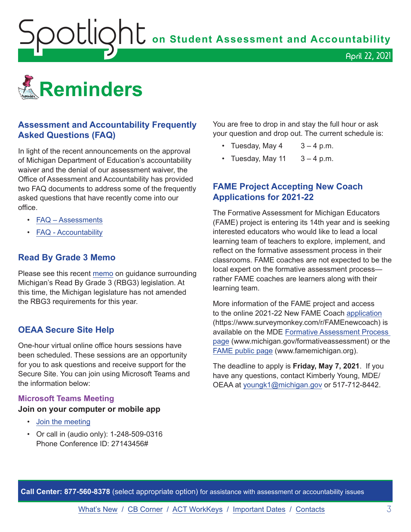<span id="page-2-1"></span>**OOUQhU** on Student Assessment and Accountability

<span id="page-2-0"></span>

#### **Assessment and Accountability Frequently Asked Questions (FAQ)**

In light of the recent announcements on the approval of Michigan Department of Education's accountability waiver and the denial of our assessment waiver, the Office of Assessment and Accountability has provided two FAQ documents to address some of the frequently asked questions that have recently come into our office.

- [FAQ Assessments](https://www.michigan.gov/documents/mde/Spring_2021_Summative_Assessments_FAQ_721789_7.pdf)
- [FAQ Accountability](https://www.michigan.gov/documents/mde/Michigan_School_Accountability_Planning_and_Response_to_COVID-19_701197_7.pdf)

#### **Read By Grade 3 Memo**

Please see this recent [memo](https://www.michigan.gov/documents/mde/RBG3_Communicating_Parents_722309_7.pdf) on guidance surrounding Michigan's Read By Grade 3 (RBG3) legislation. At this time, the Michigan legislature has not amended the RBG3 requirements for this year.

#### **OEAA Secure Site Help**

One-hour virtual online office hours sessions have been scheduled. These sessions are an opportunity for you to ask questions and receive support for the Secure Site. You can join using Microsoft Teams and the information below:

#### **Microsoft Teams Meeting**

#### **Join on your computer or mobile app**

- [Join the meeting](https://teams.microsoft.com/l/meetup-join/19%3ameeting_MzAyYzkwNTctMGU0ZC00Y2ZmLWFjNTEtZTRhYTQzN2UyMGM5%40thread.v2/0?context=%7b%22Tid%22%3a%22d5fb7087-3777-42ad-966a-892ef47225d1%22%2c%22Oid%22%3a%226100384c-b357-44a8-8e52-653af03855b7%22%7d)
- Or call in (audio only): 1-248-509-0316 Phone Conference ID: 27143456#

You are free to drop in and stay the full hour or ask your question and drop out. The current schedule is:

April 22, 2021

- Tuesday, May  $4 \times 3 4$  p.m.
- Tuesday, May 11  $3 4$  p.m.

#### **FAME Project Accepting New Coach Applications for 2021-22**

The Formative Assessment for Michigan Educators (FAME) project is entering its 14th year and is seeking interested educators who would like to lead a local learning team of teachers to explore, implement, and reflect on the formative assessment process in their classrooms. FAME coaches are not expected to be the local expert on the formative assessment process rather FAME coaches are learners along with their learning team.

More information of the FAME project and access to the online 2021-22 New FAME Coach [application](https://www.surveymonkey.com/r/FAMEnewcoach) (https://www.surveymonkey.com/r/FAMEnewcoach) is available on the MDE [Formative Assessment Process](http://www.michigan.gov/formativeassessment)  [page](http://www.michigan.gov/formativeassessment) (www.michigan.gov/formativeassessment) or the [FAME public page](http://www.FAMEMichigan.org) (www.famemichigan.org).

The deadline to apply is **Friday, May 7, 2021**. If you have any questions, contact Kimberly Young, MDE/ OEAA at [youngk1@michigan.gov](mailto:youngk1%40michigan.gov?subject=) or 517-712-8442.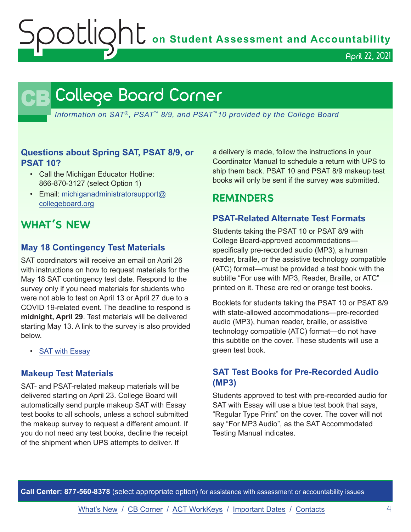OOCLIQhC on Student Assessment and Accountability

April 22, 2021

# **CB** College Board Corner

<span id="page-3-0"></span>*Information on SAT*®*, PSAT*™ *8/9, and PSAT*™*10 provided by the College Board*

#### **Questions about Spring SAT, PSAT 8/9, or PSAT 10?**

- Call the Michigan Educator Hotline: 866-870-3127 (select Option 1)
- Email: [michiganadministratorsupport@](mailto:michiganadministratorsupport%40collegeboard.org?subject=) [collegeboard.org](mailto:michiganadministratorsupport%40collegeboard.org?subject=)

# **WHAT'S NEW**

#### **May 18 Contingency Test Materials**

SAT coordinators will receive an email on April 26 with instructions on how to request materials for the May 18 SAT contingency test date. Respond to the survey only if you need materials for students who were not able to test on April 13 or April 27 due to a COVID 19-related event. The deadline to respond is **midnight, April 29**. Test materials will be delivered starting May 13. A link to the survey is also provided below.

• [SAT with Essay](https://www.surveyresearchonline.com/se/7321E7ED57630E2F)

#### **Makeup Test Materials**

SAT- and PSAT-related makeup materials will be delivered starting on April 23. College Board will automatically send purple makeup SAT with Essay test books to all schools, unless a school submitted the makeup survey to request a different amount. If you do not need any test books, decline the receipt of the shipment when UPS attempts to deliver. If

a delivery is made, follow the instructions in your Coordinator Manual to schedule a return with UPS to ship them back. PSAT 10 and PSAT 8/9 makeup test books will only be sent if the survey was submitted.

## **REMINDERS**

#### **PSAT-Related Alternate Test Formats**

Students taking the PSAT 10 or PSAT 8/9 with College Board-approved accommodations specifically pre-recorded audio (MP3), a human reader, braille, or the assistive technology compatible (ATC) format—must be provided a test book with the subtitle "For use with MP3, Reader, Braille, or ATC" printed on it. These are red or orange test books.

Booklets for students taking the PSAT 10 or PSAT 8/9 with state-allowed accommodations—pre-recorded audio (MP3), human reader, braille, or assistive technology compatible (ATC) format—do not have this subtitle on the cover. These students will use a green test book.

#### **SAT Test Books for Pre-Recorded Audio (MP3)**

Students approved to test with pre-recorded audio for SAT with Essay will use a blue test book that says, "Regular Type Print" on the cover. The cover will not say "For MP3 Audio", as the SAT Accommodated Testing Manual indicates.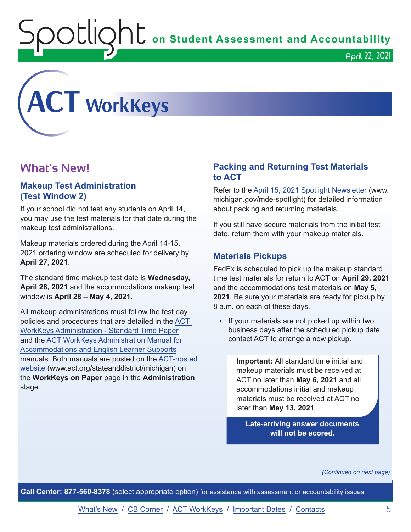$\mathop{\rm U}\nolimits\mathop{\rm U}\nolimits\subset\mathop{\rm U}\nolimits$  on Student Assessment and Accountability

April 22, 2021

<span id="page-4-0"></span>

# **What's New!**

#### **Makeup Test Administration (Test Window 2)**

If your school did not test any students on April 14, you may use the test materials for that date during the makeup test administrations.

Makeup materials ordered during the April 14-15, 2021 ordering window are scheduled for delivery by **April 27, 2021**.

The standard time makeup test date is **Wednesday, April 28, 2021** and the accommodations makeup test window is **April 28 – May 4, 2021**.

All makeup administrations must follow the test day policies and procedures that are detailed in the [ACT](http://www.act.org/content/dam/act/secured/documents/pdfs/WK-Admin-SD-Std-Time-Paper-Secured.pdf)  [WorkKeys Administration - Standard Time Paper](http://www.act.org/content/dam/act/secured/documents/pdfs/WK-Admin-SD-Std-Time-Paper-Secured.pdf) and the [ACT WorkKeys Administration Manual for](http://www.act.org/content/dam/act/secured/documents/pdfs/WK-Admin-SD-Accoms-Secured.pdf)  [Accommodations and English Learner Supports](http://www.act.org/content/dam/act/secured/documents/pdfs/WK-Admin-SD-Accoms-Secured.pdf) manuals. Both manuals are posted on the [ACT-hosted](http://www.act.org/stateanddistrict/michigan)  [website](http://www.act.org/stateanddistrict/michigan) (www.act.org/stateanddistrict/michigan) on the **WorkKeys on Paper** page in the **Administration** stage.

#### **Packing and Returning Test Materials to ACT**

Refer to the [April 15, 2021 Spotlight Newsletter](https://www.michigan.gov/documents/mde/Spotlight_4-15-21_722351_7.pdf) (www. michigan.gov/mde-spotlight) for detailed information about packing and returning materials.

If you still have secure materials from the initial test date, return them with your makeup materials.

#### **Materials Pickups**

FedEx is scheduled to pick up the makeup standard time test materials for return to ACT on **April 29, 2021** and the accommodations test materials on **May 5, 2021**. Be sure your materials are ready for pickup by 8 a.m. on each of these days.

• If your materials are not picked up within two business days after the scheduled pickup date, contact ACT to arrange a new pickup.

> **Important:** All standard time initial and makeup materials must be received at ACT no later than **May 6, 2021** and all accommodations initial and makeup materials must be received at ACT no later than **May 13, 2021**.

**Late-arriving answer documents will not be scored.** 

*(Continued on next page)*

**Call Center: 877-560-8378** (select appropriate option) for assistance with assessment or accountability issues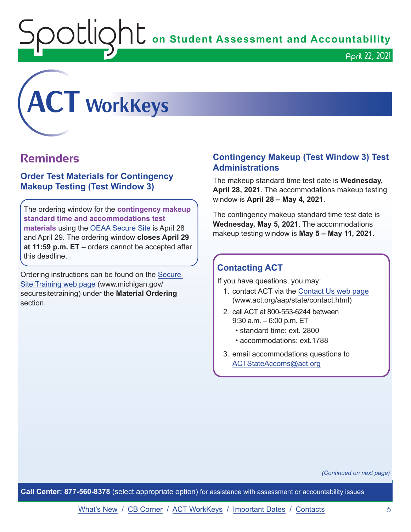**Spotlight** on Student Assessment and Accountability



## **Reminders**

#### **Order Test Materials for Contingency Makeup Testing (Test Window 3)**

The ordering window for the **contingency makeup standard time and accommodations test materials** using the [OEAA Secure Site](http://www.michigan.gov/oeaa-secure) is April 28 and April 29. The ordering window **closes April 29 at 11:59 p.m. ET** – orders cannot be accepted after this deadline.

Ordering instructions can be found on the [Secure](http://www.michigan.gov/securesitetraining)  [Site Training web page](http://www.michigan.gov/securesitetraining) (www.michigan.gov/ securesitetraining) under the **Material Ordering** section.

#### **Contingency Makeup (Test Window 3) Test Administrations**

April 22, 2021

The makeup standard time test date is **Wednesday, April 28, 2021**. The accommodations makeup testing window is **April 28 – May 4, 2021**.

The contingency makeup standard time test date is **Wednesday, May 5, 2021**. The accommodations makeup testing window is **May 5 – May 11, 2021**.

#### **Contacting ACT**

If you have questions, you may:

- 1. contact ACT via the [Contact Us web page](http://www.act.org/aap/state/contact.html) ([www.act.org/aap/state/contact.html](https://www.act.org/aap/state/contact.html))
- 2. call ACT at 800-553-6244 between 9:30 a.m. – 6:00 p.m. ET
	- standard time: ext. 2800
	- accommodations: ext.1788
- 3. email accommodations questions to [ACTStateAccoms@act.org](mailto:ACTStateAccoms%40act.org?subject=)

*(Continued on next page)*

**Call Center: 877-560-8378** (select appropriate option) for assistance with assessment or accountability issues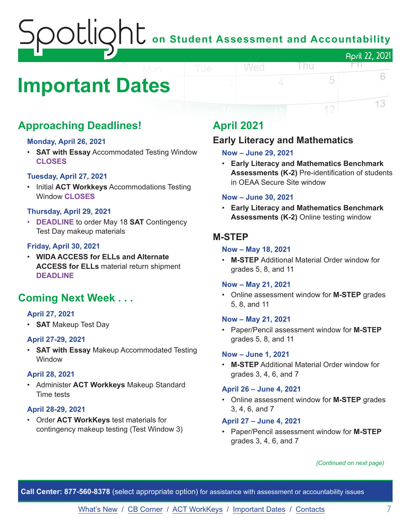# on Student Assessment and Accountability April 22, 2021

# <span id="page-6-0"></span>**Important Dates**

# **Approaching Deadlines!**

#### **Monday, April 26, 2021**

• **SAT with Essay** Accommodated Testing Window **CLOSES**

#### **Tuesday, April 27, 2021**

• Initial **ACT Workkeys** Accommodations Testing Window **CLOSES**

#### **Thursday, April 29, 2021**

• **DEADLINE** to order May 18 **SAT** Contingency Test Day makeup materials

#### **Friday, April 30, 2021**

• **WIDA ACCESS for ELLs and Alternate ACCESS for ELLs** material return shipment **DEADLINE**

# **Coming Next Week . . .**

#### **April 27, 2021**

• **SAT** Makeup Test Day

#### **April 27-29, 2021**

• **SAT with Essay** Makeup Accommodated Testing **Window** 

#### **April 28, 2021**

• Administer **ACT Workkeys** Makeup Standard Time tests

#### **April 28-29, 2021**

• Order **ACT WorkKeys** test materials for contingency makeup testing (Test Window 3)

# **April 2021**

#### **Early Literacy and Mathematics**

#### **Now – June 29, 2021**

Wed

• **Early Literacy and Mathematics Benchmark Assessments (K-2)** Pre-identification of students in OEAA Secure Site window

l nu

5

12

HT I

6

13

#### **Now – June 30, 2021**

• **Early Literacy and Mathematics Benchmark Assessments (K-2)** Online testing window

#### **M-STEP**

#### **Now – May 18, 2021**

• **M-STEP** Additional Material Order window for grades 5, 8, and 11

#### **Now – May 21, 2021**

• Online assessment window for **M-STEP** grades 5, 8, and 11

#### **Now – May 21, 2021**

• Paper/Pencil assessment window for **M-STEP** grades 5, 8, and 11

#### **Now – June 1, 2021**

• **M-STEP** Additional Material Order window for grades 3, 4, 6, and 7

#### **April 26 – June 4, 2021**

• Online assessment window for **M-STEP** grades 3, 4, 6, and 7

#### **April 27 – June 4, 2021**

• Paper/Pencil assessment window for **M-STEP**  grades 3, 4, 6, and 7

#### *(Continued on next page)*

**Call Center: 877-560-8378** (select appropriate option) for assistance with assessment or accountability issues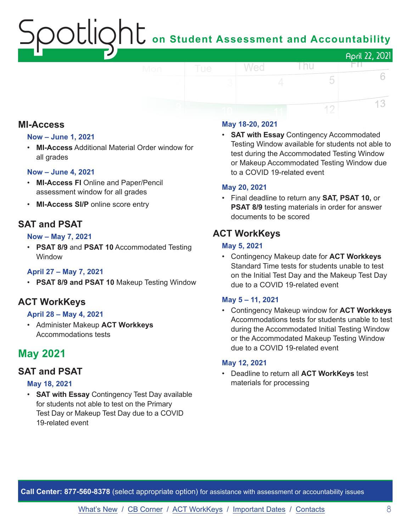# ${\sf SOLIQht}$  on Student Assessment and Accountability

|     |     |   |     |   | April 22, 2021 |
|-----|-----|---|-----|---|----------------|
| Mon | Tue |   | Wed |   |                |
|     |     | 3 |     | ∠ |                |
|     |     |   |     |   |                |
|     |     |   |     |   |                |

#### **MI-Access**

#### **Now – June 1, 2021**

• **MI-Access** Additional Material Order window for all grades

#### **Now – June 4, 2021**

- **MI-Access FI** Online and Paper/Pencil assessment window for all grades
- **MI-Access SI/P** online score entry

#### **SAT and PSAT**

#### **Now – May 7, 2021**

• **PSAT 8/9** and **PSAT 10** Accommodated Testing Window

#### **April 27 – May 7, 2021**

• **PSAT 8/9 and PSAT 10** Makeup Testing Window

#### **ACT WorkKeys**

#### **April 28 – May 4, 2021**

• Administer Makeup **ACT Workkeys** Accommodations tests

### **May 2021**

#### **SAT and PSAT**

#### **May 18, 2021**

• **SAT with Essay** Contingency Test Day available for students not able to test on the Primary Test Day or Makeup Test Day due to a COVID 19-related event

#### **May 18-20, 2021**

• **SAT with Essay** Contingency Accommodated Testing Window available for students not able to test during the Accommodated Testing Window or Makeup Accommodated Testing Window due to a COVID 19-related event

#### **May 20, 2021**

• Final deadline to return any **SAT, PSAT 10,** or **PSAT 8/9** testing materials in order for answer documents to be scored

#### **ACT WorkKeys**

#### **May 5, 2021**

• Contingency Makeup date for **ACT Workkeys** Standard Time tests for students unable to test on the Initial Test Day and the Makeup Test Day due to a COVID 19-related event

#### **May 5 – 11, 2021**

• Contingency Makeup window for **ACT Workkeys** Accommodations tests for students unable to test during the Accommodated Initial Testing Window or the Accommodated Makeup Testing Window due to a COVID 19-related event

#### **May 12, 2021**

• Deadline to return all **ACT WorkKeys** test materials for processing